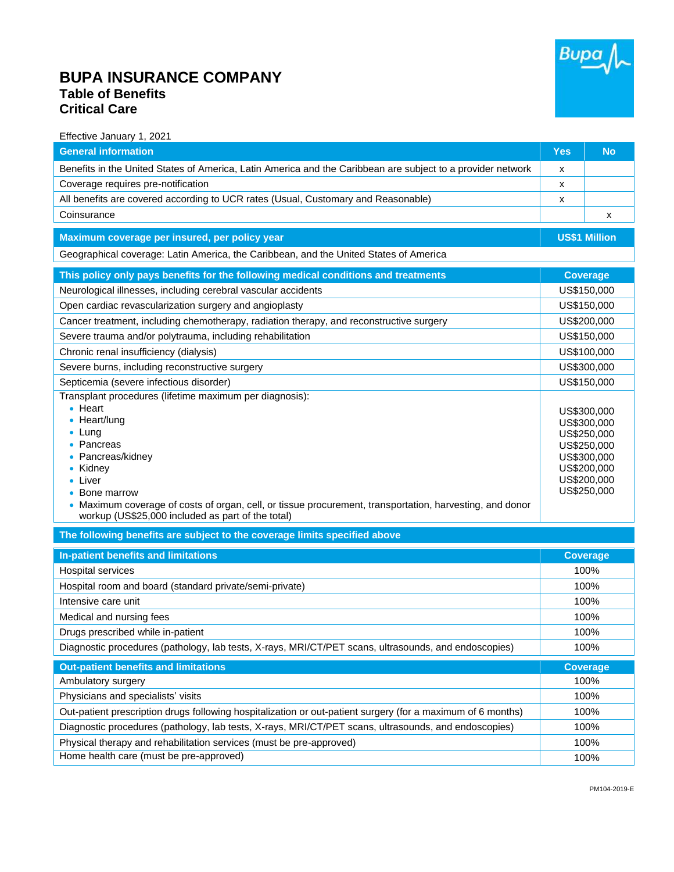## **BUPA INSURANCE COMPANY Table of Benefits Critical Care**



Effective January 1, 2021

| <b>General information</b>                                                                                                                                                                                                                                                                                                                               | Yes                                                                                                                  | <b>No</b>            |  |
|----------------------------------------------------------------------------------------------------------------------------------------------------------------------------------------------------------------------------------------------------------------------------------------------------------------------------------------------------------|----------------------------------------------------------------------------------------------------------------------|----------------------|--|
| Benefits in the United States of America, Latin America and the Caribbean are subject to a provider network                                                                                                                                                                                                                                              | х                                                                                                                    |                      |  |
| Coverage requires pre-notification                                                                                                                                                                                                                                                                                                                       | x                                                                                                                    |                      |  |
| All benefits are covered according to UCR rates (Usual, Customary and Reasonable)                                                                                                                                                                                                                                                                        | x                                                                                                                    |                      |  |
| Coinsurance                                                                                                                                                                                                                                                                                                                                              |                                                                                                                      | х                    |  |
| Maximum coverage per insured, per policy year                                                                                                                                                                                                                                                                                                            |                                                                                                                      | <b>US\$1 Million</b> |  |
| Geographical coverage: Latin America, the Caribbean, and the United States of America                                                                                                                                                                                                                                                                    |                                                                                                                      |                      |  |
| This policy only pays benefits for the following medical conditions and treatments                                                                                                                                                                                                                                                                       | <b>Coverage</b>                                                                                                      |                      |  |
| Neurological illnesses, including cerebral vascular accidents                                                                                                                                                                                                                                                                                            | US\$150,000                                                                                                          |                      |  |
| Open cardiac revascularization surgery and angioplasty                                                                                                                                                                                                                                                                                                   | US\$150,000                                                                                                          |                      |  |
| Cancer treatment, including chemotherapy, radiation therapy, and reconstructive surgery                                                                                                                                                                                                                                                                  | US\$200,000                                                                                                          |                      |  |
| Severe trauma and/or polytrauma, including rehabilitation                                                                                                                                                                                                                                                                                                | US\$150,000                                                                                                          |                      |  |
| Chronic renal insufficiency (dialysis)                                                                                                                                                                                                                                                                                                                   | US\$100,000                                                                                                          |                      |  |
| Severe burns, including reconstructive surgery                                                                                                                                                                                                                                                                                                           | US\$300,000                                                                                                          |                      |  |
| Septicemia (severe infectious disorder)                                                                                                                                                                                                                                                                                                                  | US\$150,000                                                                                                          |                      |  |
| Transplant procedures (lifetime maximum per diagnosis):<br>$\bullet$ Heart<br>• Heart/lung<br>$\bullet$ Lung<br>• Pancreas<br>• Pancreas/kidney<br>• Kidney<br>• Liver<br>• Bone marrow<br>• Maximum coverage of costs of organ, cell, or tissue procurement, transportation, harvesting, and donor<br>workup (US\$25,000 included as part of the total) | US\$300,000<br>US\$300,000<br>US\$250,000<br>US\$250,000<br>US\$300,000<br>US\$200,000<br>US\$200,000<br>US\$250,000 |                      |  |
| The following benefits are subject to the coverage limits specified above                                                                                                                                                                                                                                                                                |                                                                                                                      |                      |  |
| In-patient benefits and limitations                                                                                                                                                                                                                                                                                                                      |                                                                                                                      | <b>Coverage</b>      |  |
| Hospital services                                                                                                                                                                                                                                                                                                                                        |                                                                                                                      | 100%                 |  |
| Hospital room and board (standard private/semi-private)                                                                                                                                                                                                                                                                                                  | 100%                                                                                                                 |                      |  |
| Intensive care unit                                                                                                                                                                                                                                                                                                                                      | 100%                                                                                                                 |                      |  |
| Medical and nursing fees                                                                                                                                                                                                                                                                                                                                 | 100%                                                                                                                 |                      |  |
| Drugs prescribed while in-patient                                                                                                                                                                                                                                                                                                                        | 100%                                                                                                                 |                      |  |
| Diagnostic procedures (pathology, lab tests, X-rays, MRI/CT/PET scans, ultrasounds, and endoscopies)                                                                                                                                                                                                                                                     | 100%                                                                                                                 |                      |  |
| <b>Out-patient benefits and limitations</b>                                                                                                                                                                                                                                                                                                              |                                                                                                                      | <b>Coverage</b>      |  |
| Ambulatory surgery                                                                                                                                                                                                                                                                                                                                       |                                                                                                                      | 100%                 |  |
| Physicians and specialists' visits                                                                                                                                                                                                                                                                                                                       | 100%                                                                                                                 |                      |  |
| Out-patient prescription drugs following hospitalization or out-patient surgery (for a maximum of 6 months)                                                                                                                                                                                                                                              | 100%                                                                                                                 |                      |  |
| Diagnostic procedures (pathology, lab tests, X-rays, MRI/CT/PET scans, ultrasounds, and endoscopies)                                                                                                                                                                                                                                                     | 100%                                                                                                                 |                      |  |
| Physical therapy and rehabilitation services (must be pre-approved)                                                                                                                                                                                                                                                                                      |                                                                                                                      | 100%                 |  |
| Home health care (must be pre-approved)                                                                                                                                                                                                                                                                                                                  | 100%                                                                                                                 |                      |  |